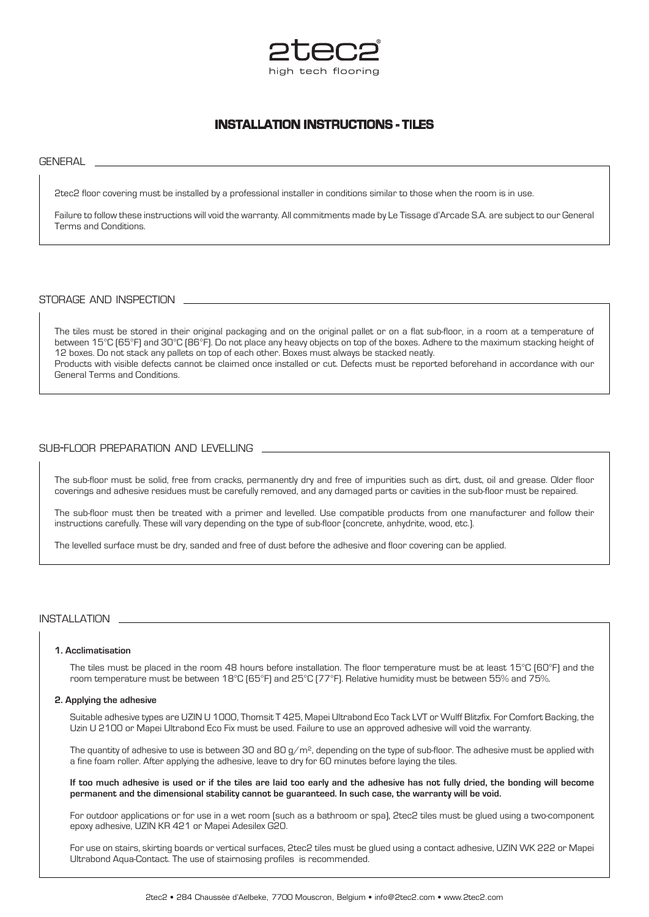

# **INSTALLATION INSTRUCTIONS - TILES**

**GENERAL** 

2tec2 floor covering must be installed by a professional installer in conditions similar to those when the room is in use.

Failure to follow these instructions will void the warranty. All commitments made by Le Tissage d'Arcade S.A. are subject to our General Terms and Conditions.

### storage and inspection

The tiles must be stored in their original packaging and on the original pallet or on a flat sub-floor, in a room at a temperature of between 15°C (65°F) and 30°C (86°F). Do not place any heavy objects on top of the boxes. Adhere to the maximum stacking height of 12 boxes. Do not stack any pallets on top of each other. Boxes must always be stacked neatly. Products with visible defects cannot be claimed once installed or cut. Defects must be reported beforehand in accordance with our General Terms and Conditions.

## sub-floor preparation and levelling

The sub-floor must be solid, free from cracks, permanently dry and free of impurities such as dirt, dust, oil and grease. Older floor coverings and adhesive residues must be carefully removed, and any damaged parts or cavities in the sub-floor must be repaired.

The sub-floor must then be treated with a primer and levelled. Use compatible products from one manufacturer and follow their instructions carefully. These will vary depending on the type of sub-floor (concrete, anhydrite, wood, etc.).

The levelled surface must be dry, sanded and free of dust before the adhesive and floor covering can be applied.

### installation

#### **1. Acclimatisation**

The tiles must be placed in the room 48 hours before installation. The floor temperature must be at least 15°C (60°F) and the room temperature must be between 18°C (65°F) and 25°C (77°F). Relative humidity must be between 55% and 75%.

#### **2. Applying the adhesive**

Suitable adhesive types are UZIN U 1000, Thomsit T 425, Mapei Ultrabond Eco Tack LVT or Wulff Blitzfix. For Comfort Backing, the Uzin U 2100 or Mapei Ultrabond Eco Fix must be used. Failure to use an approved adhesive will void the warranty.

The quantity of adhesive to use is between 30 and 80 g/m<sup>2</sup>, depending on the type of sub-floor. The adhesive must be applied with a fine foam roller. After applying the adhesive, leave to dry for 60 minutes before laying the tiles.

**If too much adhesive is used or if the tiles are laid too early and the adhesive has not fully dried, the bonding will become permanent and the dimensional stability cannot be guaranteed. In such case, the warranty will be void.**

For outdoor applications or for use in a wet room (such as a bathroom or spa), 2tec2 tiles must be glued using a two-component epoxy adhesive, UZIN KR 421 or Mapei Adesilex G20.

For use on stairs, skirting boards or vertical surfaces, 2tec2 tiles must be glued using a contact adhesive, UZIN WK 222 or Mapei Ultrabond Aqua-Contact. The use of stairnosing profiles is recommended.